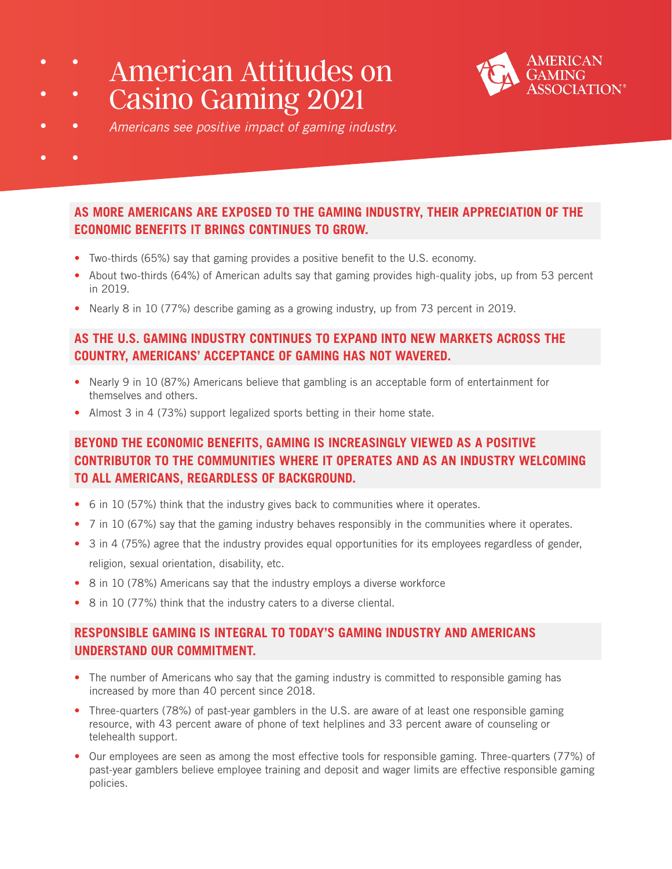American Attitudes on Casino Gaming 2021



- *Americans see positive impact of gaming industry.*
- 

# **AS MORE AMERICANS ARE EXPOSED TO THE GAMING INDUSTRY, THEIR APPRECIATION OF THE ECONOMIC BENEFITS IT BRINGS CONTINUES TO GROW.**

- **•** Two-thirds (65%) say that gaming provides a positive benefit to the U.S. economy.
- **•** About two-thirds (64%) of American adults say that gaming provides high-quality jobs, up from 53 percent in 2019.
- **•** Nearly 8 in 10 (77%) describe gaming as a growing industry, up from 73 percent in 2019.

### **AS THE U.S. GAMING INDUSTRY CONTINUES TO EXPAND INTO NEW MARKETS ACROSS THE COUNTRY, AMERICANS' ACCEPTANCE OF GAMING HAS NOT WAVERED.**

- **•** Nearly 9 in 10 (87%) Americans believe that gambling is an acceptable form of entertainment for themselves and others.
- **•** Almost 3 in 4 (73%) support legalized sports betting in their home state.

# **BEYOND THE ECONOMIC BENEFITS, GAMING IS INCREASINGLY VIEWED AS A POSITIVE CONTRIBUTOR TO THE COMMUNITIES WHERE IT OPERATES AND AS AN INDUSTRY WELCOMING TO ALL AMERICANS, REGARDLESS OF BACKGROUND.**

- **•** 6 in 10 (57%) think that the industry gives back to communities where it operates.
- **•** 7 in 10 (67%) say that the gaming industry behaves responsibly in the communities where it operates.
- 3 in 4 (75%) agree that the industry provides equal opportunities for its employees regardless of gender, religion, sexual orientation, disability, etc.
- **•** 8 in 10 (78%) Americans say that the industry employs a diverse workforce
- **•** 8 in 10 (77%) think that the industry caters to a diverse cliental.

### **RESPONSIBLE GAMING IS INTEGRAL TO TODAY'S GAMING INDUSTRY AND AMERICANS UNDERSTAND OUR COMMITMENT.**

- **•** The number of Americans who say that the gaming industry is committed to responsible gaming has increased by more than 40 percent since 2018.
- **•** Three-quarters (78%) of past-year gamblers in the U.S. are aware of at least one responsible gaming resource, with 43 percent aware of phone of text helplines and 33 percent aware of counseling or telehealth support.
- **•** Our employees are seen as among the most effective tools for responsible gaming. Three-quarters (77%) of past-year gamblers believe employee training and deposit and wager limits are effective responsible gaming policies.